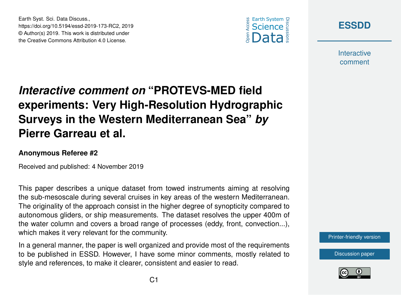

**[ESSDD](https://www.earth-syst-sci-data-discuss.net/)**

**Interactive** comment

# *Interactive comment on* **"PROTEVS-MED field experiments: Very High-Resolution Hydrographic Surveys in the Western Mediterranean Sea"** *by* **Pierre Garreau et al.**

#### **Anonymous Referee #2**

Earth Syst. Sci. Data Discuss.,

https://doi.org/10.5194/essd-2019-173-RC2, 2019 © Author(s) 2019. This work is distributed under the Creative Commons Attribution 4.0 License.

Received and published: 4 November 2019

This paper describes a unique dataset from towed instruments aiming at resolving the sub-mesoscale during several cruises in key areas of the western Mediterranean. The originality of the approach consist in the higher degree of synopticity compared to autonomous gliders, or ship measurements. The dataset resolves the upper 400m of the water column and covers a broad range of processes (eddy, front, convection...), which makes it very relevant for the community.

In a general manner, the paper is well organized and provide most of the requirements to be published in ESSD. However, I have some minor comments, mostly related to style and references, to make it clearer, consistent and easier to read.

[Printer-friendly version](https://www.earth-syst-sci-data-discuss.net/essd-2019-173/essd-2019-173-RC2-print.pdf)

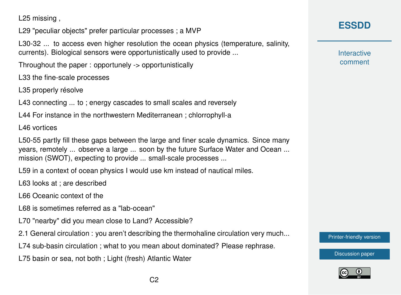L25 missing ,

L29 "peculiar objects" prefer particular processes ; a MVP

L30-32 ... to access even higher resolution the ocean physics (temperature, salinity, currents). Biological sensors were opportunistically used to provide ...

Throughout the paper : opportunely -> opportunistically

L33 the fine-scale processes

L35 properly résolve

L43 connecting ... to ; energy cascades to small scales and reversely

L44 For instance in the northwestern Mediterranean ; chlorrophyll-a

L46 vortices

L50-55 partly fill these gaps between the large and finer scale dynamics. Since many years, remotely ... observe a large ... soon by the future Surface Water and Ocean ... mission (SWOT), expecting to provide ... small-scale processes ...

L59 in a context of ocean physics I would use km instead of nautical miles.

L63 looks at ; are described

L66 Oceanic context of the

L68 is sometimes referred as a "lab-ocean"

L70 "nearby" did you mean close to Land? Accessible?

2.1 General circulation : you aren't describing the thermohaline circulation very much...

L74 sub-basin circulation ; what to you mean about dominated? Please rephrase.

L75 basin or sea, not both ; Light (fresh) Atlantic Water

**[ESSDD](https://www.earth-syst-sci-data-discuss.net/)**

**Interactive** comment

[Printer-friendly version](https://www.earth-syst-sci-data-discuss.net/essd-2019-173/essd-2019-173-RC2-print.pdf)

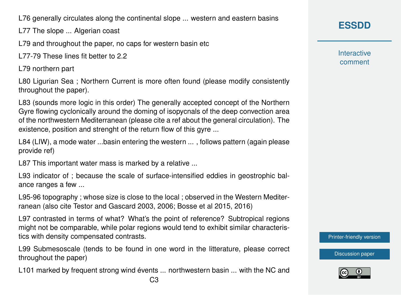L76 generally circulates along the continental slope ... western and eastern basins

L77 The slope ... Algerian coast

L79 and throughout the paper, no caps for western basin etc

L77-79 These lines fit better to 2.2

L79 northern part

L80 Ligurian Sea ; Northern Current is more often found (please modify consistently throughout the paper).

L83 (sounds more logic in this order) The generally accepted concept of the Northern Gyre flowing cyclonically around the doming of isopycnals of the deep convection area of the northwestern Mediterranean (please cite a ref about the general circulation). The existence, position and strenght of the return flow of this gyre ...

L84 (LIW), a mode water ...basin entering the western ... , follows pattern (again please provide ref)

L87 This important water mass is marked by a relative ...

L93 indicator of ; because the scale of surface-intensified eddies in geostrophic balance ranges a few ...

L95-96 topography ; whose size is close to the local ; observed in the Western Mediterranean (also cite Testor and Gascard 2003, 2006; Bosse et al 2015, 2016)

L97 contrasted in terms of what? What's the point of reference? Subtropical regions might not be comparable, while polar regions would tend to exhibit similar characteristics with density compensated contrasts.

L99 Submesoscale (tends to be found in one word in the litterature, please correct throughout the paper)

L101 marked by frequent strong wind évents ... northwestern basin ... with the NC and

**[ESSDD](https://www.earth-syst-sci-data-discuss.net/)**

**Interactive** comment

[Printer-friendly version](https://www.earth-syst-sci-data-discuss.net/essd-2019-173/essd-2019-173-RC2-print.pdf)

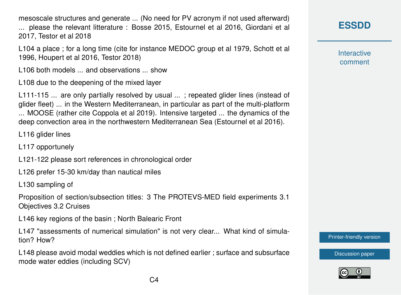mesoscale structures and generate ... (No need for PV acronym if not used afterward) ... please the relevant litterature : Bosse 2015, Estournel et al 2016, Giordani et al 2017, Testor et al 2018

L104 a place ; for a long time (cite for instance MEDOC group et al 1979, Schott et al 1996, Houpert et al 2016, Testor 2018)

L106 both models ... and observations ... show

L108 due to the deepening of the mixed layer

L111-115 ... are only partially resolved by usual ...; repeated glider lines (instead of glider fleet) ... in the Western Mediterranean, in particular as part of the multi-platform ... MOOSE (rather cite Coppola et al 2019). Intensive targeted ... the dynamics of the deep convection area in the northwestern Mediterranean Sea (Estournel et al 2016).

L116 glider lines

- L117 opportunely
- L121-122 please sort references in chronological order
- L126 prefer 15-30 km/day than nautical miles

L130 sampling of

Proposition of section/subsection titles: 3 The PROTEVS-MED field experiments 3.1 Objectives 3.2 Cruises

L146 key regions of the basin ; North Balearic Front

L147 "assessments of numerical simulation" is not very clear... What kind of simulation? How?

L148 please avoid modal weddies which is not defined earlier ; surface and subsurface mode water eddies (including SCV)

## **[ESSDD](https://www.earth-syst-sci-data-discuss.net/)**

**Interactive** comment

[Printer-friendly version](https://www.earth-syst-sci-data-discuss.net/essd-2019-173/essd-2019-173-RC2-print.pdf)

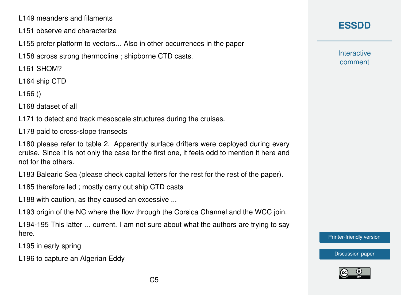L149 meanders and filaments

- L151 observe and characterize
- L155 prefer platform to vectors... Also in other occurrences in the paper

L158 across strong thermocline ; shipborne CTD casts.

L161 SHOM?

L164 ship CTD

L166 ))

L168 dataset of all

L171 to detect and track mesoscale structures during the cruises.

L178 paid to cross-slope transects

L180 please refer to table 2. Apparently surface drifters were deployed during every cruise. Since it is not only the case for the first one, it feels odd to mention it here and not for the others.

L183 Balearic Sea (please check capital letters for the rest for the rest of the paper).

L185 therefore led ; mostly carry out ship CTD casts

L188 with caution, as they caused an excessive ...

L193 origin of the NC where the flow through the Corsica Channel and the WCC join.

L194-195 This latter ... current. I am not sure about what the authors are trying to say here.

L195 in early spring

L196 to capture an Algerian Eddy

**[ESSDD](https://www.earth-syst-sci-data-discuss.net/)**

**Interactive** comment

[Printer-friendly version](https://www.earth-syst-sci-data-discuss.net/essd-2019-173/essd-2019-173-RC2-print.pdf)

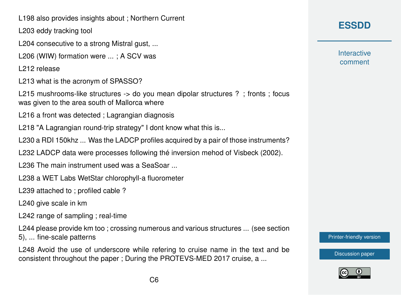L198 also provides insights about ; Northern Current

L203 eddy tracking tool

L204 consecutive to a strong Mistral gust, ...

L206 (WIW) formation were ... ; A SCV was

L212 release

L213 what is the acronym of SPASSO?

L215 mushrooms-like structures -> do you mean dipolar structures ? ; fronts ; focus was given to the area south of Mallorca where

L216 a front was detected ; Lagrangian diagnosis

L218 "A Lagrangian round-trip strategy" I dont know what this is...

L230 a RDI 150khz ... Was the LADCP profiles acquired by a pair of those instruments?

L232 LADCP data were processes following thé inversion mehod of Visbeck (2002).

L236 The main instrument used was a SeaSoar ...

L238 a WET Labs WetStar chlorophyll-a fluorometer

L239 attached to ; profiled cable ?

L240 give scale in km

L242 range of sampling ; real-time

L244 please provide km too ; crossing numerous and various structures ... (see section 5), ... fine-scale patterns

L248 Avoid the use of underscore while refering to cruise name in the text and be consistent throughout the paper ; During the PROTEVS-MED 2017 cruise, a ...

# **[ESSDD](https://www.earth-syst-sci-data-discuss.net/)**

**Interactive** comment

[Printer-friendly version](https://www.earth-syst-sci-data-discuss.net/essd-2019-173/essd-2019-173-RC2-print.pdf)

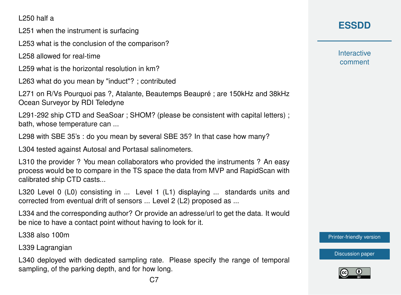L250 half a

L251 when the instrument is surfacing

L253 what is the conclusion of the comparison?

L258 allowed for real-time

L259 what is the horizontal resolution in km?

L263 what do you mean by "induct"? ; contributed

L271 on R/Vs Pourquoi pas ?, Atalante, Beautemps Beaupré ; are 150kHz and 38kHz Ocean Surveyor by RDI Teledyne

L291-292 ship CTD and SeaSoar ; SHOM? (please be consistent with capital letters) ; bath, whose temperature can ...

L298 with SBE 35's : do you mean by several SBE 35? In that case how many?

L304 tested against Autosal and Portasal salinometers.

L310 the provider ? You mean collaborators who provided the instruments ? An easy process would be to compare in the TS space the data from MVP and RapidScan with calibrated ship CTD casts...

L320 Level 0 (L0) consisting in ... Level 1 (L1) displaying ... standards units and corrected from eventual drift of sensors ... Level 2 (L2) proposed as ...

L334 and the corresponding author? Or provide an adresse/url to get the data. It would be nice to have a contact point without having to look for it.

L338 also 100m

L339 Lagrangian

L340 deployed with dedicated sampling rate. Please specify the range of temporal sampling, of the parking depth, and for how long.

# **[ESSDD](https://www.earth-syst-sci-data-discuss.net/)**

**Interactive** comment

[Printer-friendly version](https://www.earth-syst-sci-data-discuss.net/essd-2019-173/essd-2019-173-RC2-print.pdf)

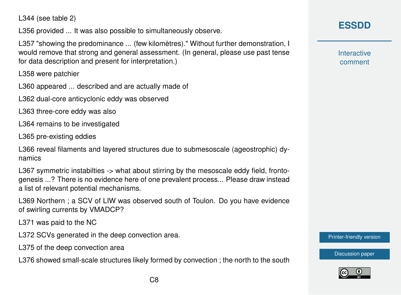L344 (see table 2)

L356 provided ... It was also possible to simultaneously observe.

L357 "showing the predominance ... (few kilomètres)." Without further demonstration, I would remove that strong and general assessment. (In general, please use past tense for data description and present for interpretation.)

L358 were patchier

L360 appeared ... described and are actually made of

L362 dual-core anticyclonic eddy was observed

L363 three-core eddy was also

L364 remains to be investigated

L365 pre-existing eddies

L366 reveal filaments and layered structures due to submesoscale (ageostrophic) dynamics

L367 symmetric instabilties  $\rightarrow$  what about stirring by the mesoscale eddy field, frontogenesis ...? There is no evidence here of one prevalent process... Please draw instead a list of relevant potential mechanisms.

L369 Northern ; a SCV of LIW was observed south of Toulon. Do you have evidence of swirling currents by VMADCP?

L371 was paid to the NC

L372 SCVs generated in the deep convection area.

L375 of the deep convection area

L376 showed small-scale structures likely formed by convection ; the north to the south

# **[ESSDD](https://www.earth-syst-sci-data-discuss.net/)**

**Interactive** comment

[Printer-friendly version](https://www.earth-syst-sci-data-discuss.net/essd-2019-173/essd-2019-173-RC2-print.pdf)

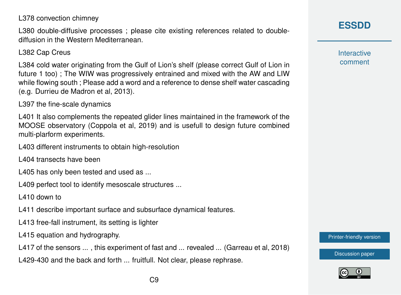L378 convection chimney

L380 double-diffusive processes ; please cite existing references related to doublediffusion in the Western Mediterranean.

L382 Cap Creus

L384 cold water originating from the Gulf of Lion's shelf (please correct Gulf of Lion in future 1 too) ; The WIW was progressively entrained and mixed with the AW and LIW while flowing south ; Please add a word and a reference to dense shelf water cascading (e.g. Durrieu de Madron et al, 2013).

L397 the fine-scale dynamics

L401 It also complements the repeated glider lines maintained in the framework of the MOOSE observatory (Coppola et al, 2019) and is usefull to design future combined multi-plarform experiments.

L403 different instruments to obtain high-resolution

L404 transects have been

L405 has only been tested and used as ...

L409 perfect tool to identify mesoscale structures ...

L410 down to

L411 describe important surface and subsurface dynamical features.

L413 free-fall instrument, its setting is lighter

L415 equation and hydrography.

L417 of the sensors ..., this experiment of fast and ... revealed ... (Garreau et al, 2018)

L429-430 and the back and forth ... fruitfull. Not clear, please rephrase.

## **[ESSDD](https://www.earth-syst-sci-data-discuss.net/)**

**Interactive** comment

[Printer-friendly version](https://www.earth-syst-sci-data-discuss.net/essd-2019-173/essd-2019-173-RC2-print.pdf)

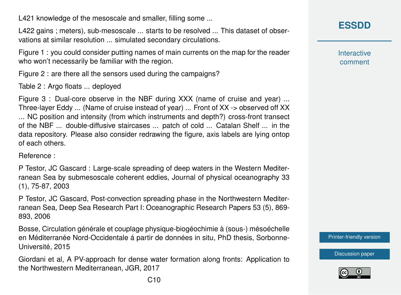L421 knowledge of the mesoscale and smaller, filling some ...

L422 gains ; meters), sub-mesoscale ... starts to be resolved ... This dataset of observations at similar resolution ... simulated secondary circulations.

Figure 1 : you could consider putting names of main currents on the map for the reader who won't necessarily be familiar with the region.

Figure 2 : are there all the sensors used during the campaigns?

Table 2 : Argo floats ... deployed

Figure 3 : Dual-core observe in the NBF during XXX (name of cruise and year) ... Three-layer Eddy ... (Name of cruise instead of year) ... Front of XX -> observed off XX ... NC position and intensity (from which instruments and depth?) cross-front transect of the NBF ... double-diffusive staircases ... patch of cold ... Catalan Shelf ... in the data repository. Please also consider redrawing the figure, axis labels are lying ontop of each others.

Reference :

P Testor, JC Gascard : Large-scale spreading of deep waters in the Western Mediterranean Sea by submesoscale coherent eddies, Journal of physical oceanography 33 (1), 75-87, 2003

P Testor, JC Gascard, Post-convection spreading phase in the Northwestern Mediterranean Sea, Deep Sea Research Part I: Oceanographic Research Papers 53 (5), 869- 893, 2006

Bosse, Circulation générale et couplage physique-biogéochimie à (sous-) mésoéchelle en Méditerranée Nord-Occidentale á partir de données in situ, PhD thesis, Sorbonne-Université, 2015

Giordani et al, A PV-approach for dense water formation along fronts: Application to the Northwestern Mediterranean, JGR, 2017

**[ESSDD](https://www.earth-syst-sci-data-discuss.net/)**

**Interactive** comment

[Printer-friendly version](https://www.earth-syst-sci-data-discuss.net/essd-2019-173/essd-2019-173-RC2-print.pdf)